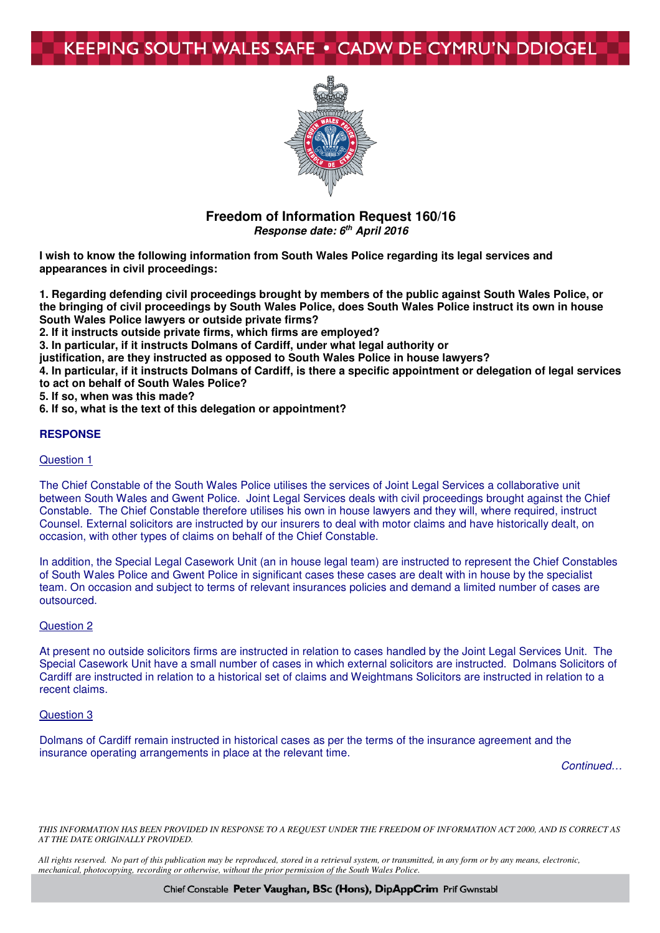## **KEEPING SOUTH WALES SAFE • CADW DE CYMRU'N DDIOGEL**



#### **Freedom of Information Request 160/16 Response date: 6th April 2016**

**I wish to know the following information from South Wales Police regarding its legal services and appearances in civil proceedings:** 

**1. Regarding defending civil proceedings brought by members of the public against South Wales Police, or the bringing of civil proceedings by South Wales Police, does South Wales Police instruct its own in house South Wales Police lawyers or outside private firms?** 

**2. If it instructs outside private firms, which firms are employed?** 

**3. In particular, if it instructs Dolmans of Cardiff, under what legal authority or** 

**justification, are they instructed as opposed to South Wales Police in house lawyers?** 

**4. In particular, if it instructs Dolmans of Cardiff, is there a specific appointment or delegation of legal services to act on behalf of South Wales Police?** 

**5. If so, when was this made?** 

**6. If so, what is the text of this delegation or appointment?** 

#### **RESPONSE**

#### Question 1

The Chief Constable of the South Wales Police utilises the services of Joint Legal Services a collaborative unit between South Wales and Gwent Police. Joint Legal Services deals with civil proceedings brought against the Chief Constable. The Chief Constable therefore utilises his own in house lawyers and they will, where required, instruct Counsel. External solicitors are instructed by our insurers to deal with motor claims and have historically dealt, on occasion, with other types of claims on behalf of the Chief Constable.

In addition, the Special Legal Casework Unit (an in house legal team) are instructed to represent the Chief Constables of South Wales Police and Gwent Police in significant cases these cases are dealt with in house by the specialist team. On occasion and subject to terms of relevant insurances policies and demand a limited number of cases are outsourced.

#### Question 2

At present no outside solicitors firms are instructed in relation to cases handled by the Joint Legal Services Unit. The Special Casework Unit have a small number of cases in which external solicitors are instructed. Dolmans Solicitors of Cardiff are instructed in relation to a historical set of claims and Weightmans Solicitors are instructed in relation to a recent claims.

#### Question 3

Dolmans of Cardiff remain instructed in historical cases as per the terms of the insurance agreement and the insurance operating arrangements in place at the relevant time.

Continued…

*THIS INFORMATION HAS BEEN PROVIDED IN RESPONSE TO A REQUEST UNDER THE FREEDOM OF INFORMATION ACT 2000, AND IS CORRECT AS AT THE DATE ORIGINALLY PROVIDED.* 

*All rights reserved. No part of this publication may be reproduced, stored in a retrieval system, or transmitted, in any form or by any means, electronic, mechanical, photocopying, recording or otherwise, without the prior permission of the South Wales Police.* 

Chief Constable Peter Vaughan, BSc (Hons), DipAppCrim Prif Gwnstabl